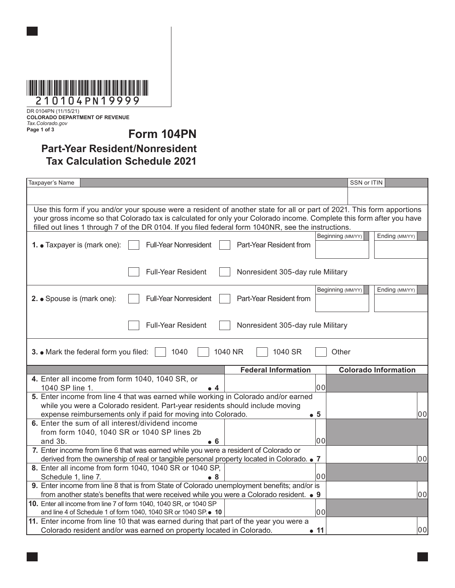

DR 0104PN (11/15/21) **COLORADO DEPARTMENT OF REVENUE** *Tax.Colorado.gov* **Page 1 of 3**

**Form 104PN**

## **Part-Year Resident/Nonresident Tax Calculation Schedule 2021**

| Taxpayer's Name                                                                                                                                                                                                               |                                   | SSN or ITIN                         |  |  |
|-------------------------------------------------------------------------------------------------------------------------------------------------------------------------------------------------------------------------------|-----------------------------------|-------------------------------------|--|--|
|                                                                                                                                                                                                                               |                                   |                                     |  |  |
|                                                                                                                                                                                                                               |                                   |                                     |  |  |
| Use this form if you and/or your spouse were a resident of another state for all or part of 2021. This form apportions                                                                                                        |                                   |                                     |  |  |
| your gross income so that Colorado tax is calculated for only your Colorado income. Complete this form after you have<br>filled out lines 1 through 7 of the DR 0104. If you filed federal form 1040NR, see the instructions. |                                   |                                     |  |  |
|                                                                                                                                                                                                                               |                                   | Ending (MM/YY)<br>Beginning (MM/YY) |  |  |
| <b>Full-Year Nonresident</b><br>1. • Taxpayer is (mark one):                                                                                                                                                                  | Part-Year Resident from           |                                     |  |  |
|                                                                                                                                                                                                                               |                                   |                                     |  |  |
| <b>Full-Year Resident</b><br>Nonresident 305-day rule Military                                                                                                                                                                |                                   |                                     |  |  |
|                                                                                                                                                                                                                               |                                   | Beginning (MM/YY)<br>Ending (MM/YY) |  |  |
| <b>Full-Year Nonresident</b><br>2. • Spouse is (mark one):                                                                                                                                                                    | Part-Year Resident from           |                                     |  |  |
|                                                                                                                                                                                                                               |                                   |                                     |  |  |
|                                                                                                                                                                                                                               |                                   |                                     |  |  |
| <b>Full-Year Resident</b>                                                                                                                                                                                                     | Nonresident 305-day rule Military |                                     |  |  |
|                                                                                                                                                                                                                               |                                   |                                     |  |  |
| 3. • Mark the federal form you filed:<br>1040<br>1040 NR<br>1040 SR<br>Other                                                                                                                                                  |                                   |                                     |  |  |
|                                                                                                                                                                                                                               | <b>Federal Information</b>        | <b>Colorado Information</b>         |  |  |
| 4. Enter all income from form 1040, 1040 SR, or                                                                                                                                                                               |                                   |                                     |  |  |
| 1040 SP line 1.<br>╻ 4                                                                                                                                                                                                        | 00                                |                                     |  |  |
| 5. Enter income from line 4 that was earned while working in Colorado and/or earned                                                                                                                                           |                                   |                                     |  |  |
| while you were a Colorado resident. Part-year residents should include moving                                                                                                                                                 |                                   |                                     |  |  |
| expense reimbursements only if paid for moving into Colorado.                                                                                                                                                                 | $\bullet\text{ }5$                | 00                                  |  |  |
| 6. Enter the sum of all interest/dividend income                                                                                                                                                                              |                                   |                                     |  |  |
| from form 1040, 1040 SR or 1040 SP lines 2b<br>and 3b.<br>• 6                                                                                                                                                                 | l00                               |                                     |  |  |
| 7. Enter income from line 6 that was earned while you were a resident of Colorado or                                                                                                                                          |                                   |                                     |  |  |
| 00<br>derived from the ownership of real or tangible personal property located in Colorado. • 7                                                                                                                               |                                   |                                     |  |  |
| 8. Enter all income from form 1040, 1040 SR or 1040 SP,                                                                                                                                                                       |                                   |                                     |  |  |
| Schedule 1, line 7.<br>• 8                                                                                                                                                                                                    | 00                                |                                     |  |  |
| 9. Enter income from line 8 that is from State of Colorado unemployment benefits; and/or is                                                                                                                                   |                                   |                                     |  |  |
| from another state's benefits that were received while you were a Colorado resident. ● 9<br>00                                                                                                                                |                                   |                                     |  |  |
| 10. Enter all income from line 7 of form 1040, 1040 SR, or 1040 SP                                                                                                                                                            |                                   |                                     |  |  |
| and line 4 of Schedule 1 of form 1040, 1040 SR or 1040 SP. • 10                                                                                                                                                               | 00                                |                                     |  |  |
| 11. Enter income from line 10 that was earned during that part of the year you were a                                                                                                                                         |                                   |                                     |  |  |
| Colorado resident and/or was earned on property located in Colorado.                                                                                                                                                          | $\bullet$ 11                      | 00                                  |  |  |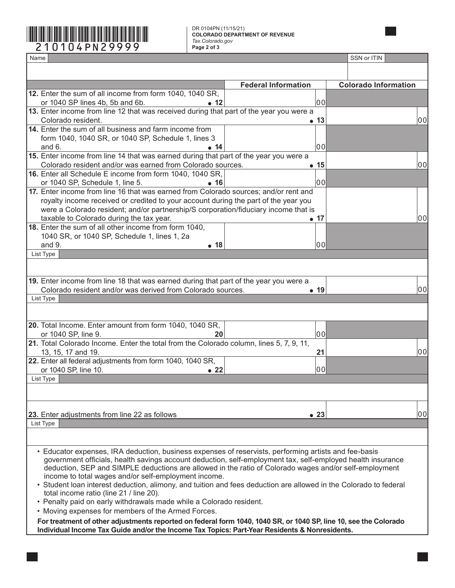

DR 0104PN (11/15/21) **COLORADO DEPARTMENT OF REVENUE** *Tax.Colorado.gov*

| Name                                                                                                                                                                                                                 |                            | SSN or ITIN                 |  |
|----------------------------------------------------------------------------------------------------------------------------------------------------------------------------------------------------------------------|----------------------------|-----------------------------|--|
|                                                                                                                                                                                                                      |                            |                             |  |
|                                                                                                                                                                                                                      | <b>Federal Information</b> | <b>Colorado Information</b> |  |
| 12. Enter the sum of all income from form 1040, 1040 SR,                                                                                                                                                             |                            |                             |  |
| or 1040 SP lines 4b, 5b and 6b.<br>$\bullet$ 12                                                                                                                                                                      | 100                        |                             |  |
| 13. Enter income from line 12 that was received during that part of the year you were a                                                                                                                              |                            |                             |  |
| Colorado resident.                                                                                                                                                                                                   | $\bullet$ 13               | 00                          |  |
| 14. Enter the sum of all business and farm income from                                                                                                                                                               |                            |                             |  |
| form 1040, 1040 SR, or 1040 SP, Schedule 1, lines 3                                                                                                                                                                  |                            |                             |  |
| and $6.$<br>• 14                                                                                                                                                                                                     | 100                        |                             |  |
| 15. Enter income from line 14 that was earned during that part of the year you were a                                                                                                                                |                            |                             |  |
| Colorado resident and/or was earned from Colorado sources.                                                                                                                                                           | • 15                       | 00                          |  |
| 16. Enter all Schedule E income from form 1040, 1040 SR,                                                                                                                                                             |                            |                             |  |
| or 1040 SP, Schedule 1, line 5.<br>• 16<br>17. Enter income from line 16 that was earned from Colorado sources; and/or rent and                                                                                      | 00                         |                             |  |
| royalty income received or credited to your account during the part of the year you                                                                                                                                  |                            |                             |  |
| were a Colorado resident; and/or partnership/S corporation/fiduciary income that is                                                                                                                                  |                            |                             |  |
| taxable to Colorado during the tax year.                                                                                                                                                                             | • 17                       | 00                          |  |
| 18. Enter the sum of all other income from form 1040,                                                                                                                                                                |                            |                             |  |
| 1040 SR, or 1040 SP, Schedule 1, lines 1, 2a                                                                                                                                                                         |                            |                             |  |
| and 9.<br>• 18                                                                                                                                                                                                       | 00                         |                             |  |
| List Type                                                                                                                                                                                                            |                            |                             |  |
|                                                                                                                                                                                                                      |                            |                             |  |
|                                                                                                                                                                                                                      |                            |                             |  |
| 19. Enter income from line 18 that was earned during that part of the year you were a                                                                                                                                |                            |                             |  |
| Colorado resident and/or was derived from Colorado sources.                                                                                                                                                          | $\bullet$ 19               | 00                          |  |
| List Type                                                                                                                                                                                                            |                            |                             |  |
|                                                                                                                                                                                                                      |                            |                             |  |
| 20. Total Income. Enter amount from form 1040, 1040 SR,                                                                                                                                                              |                            |                             |  |
| or 1040 SP, line 9.<br>20                                                                                                                                                                                            | 00                         |                             |  |
| 21. Total Colorado Income. Enter the total from the Colorado column, lines 5, 7, 9, 11,                                                                                                                              |                            |                             |  |
| 13, 15, 17 and 19.                                                                                                                                                                                                   | 21                         | 00                          |  |
| 22. Enter all federal adjustments from form 1040, 1040 SR,                                                                                                                                                           |                            |                             |  |
| or 1040 SP, line 10.<br>$\bullet$ 22                                                                                                                                                                                 | 00                         |                             |  |
| List Type                                                                                                                                                                                                            |                            |                             |  |
|                                                                                                                                                                                                                      |                            |                             |  |
|                                                                                                                                                                                                                      |                            |                             |  |
|                                                                                                                                                                                                                      |                            |                             |  |
| 23. Enter adjustments from line 22 as follows                                                                                                                                                                        | $\bullet$ 23               | 00                          |  |
| List Type                                                                                                                                                                                                            |                            |                             |  |
|                                                                                                                                                                                                                      |                            |                             |  |
|                                                                                                                                                                                                                      |                            |                             |  |
| • Educator expenses, IRA deduction, business expenses of reservists, performing artists and fee-basis<br>government officials, health savings account deduction, self-employment tax, self-employed health insurance |                            |                             |  |
| deduction, SEP and SIMPLE deductions are allowed in the ratio of Colorado wages and/or self-employment                                                                                                               |                            |                             |  |
| income to total wages and/or self-employment income.                                                                                                                                                                 |                            |                             |  |
| • Student loan interest deduction, alimony, and tuition and fees deduction are allowed in the Colorado to federal                                                                                                    |                            |                             |  |
| total income ratio (line 21 / line 20).                                                                                                                                                                              |                            |                             |  |
| • Penalty paid on early withdrawals made while a Colorado resident.                                                                                                                                                  |                            |                             |  |
| • Moving expenses for members of the Armed Forces.                                                                                                                                                                   |                            |                             |  |
| For treatment of other adjustments reported on federal form 1040, 1040 SR, or 1040 SP, line 10, see the Colorado                                                                                                     |                            |                             |  |
| Individual Income Tax Guide and/or the Income Tax Topics: Part-Year Residents & Nonresidents.                                                                                                                        |                            |                             |  |
|                                                                                                                                                                                                                      |                            |                             |  |